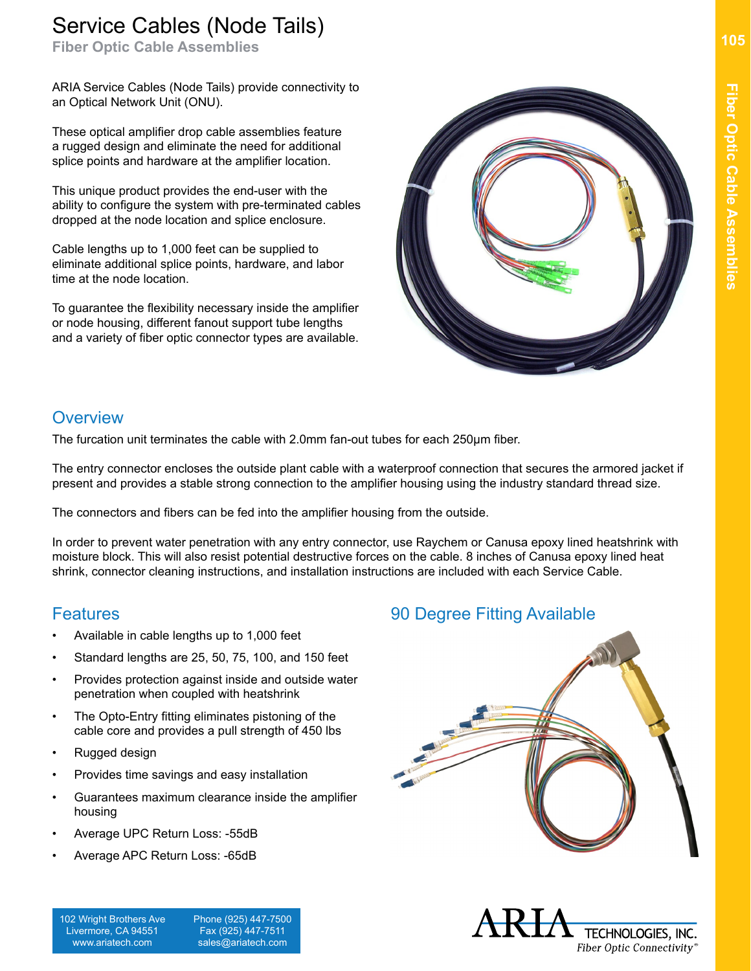# Service Cables (Node Tails)

**Fiber Optic Cable Assemblies**

ARIA Service Cables (Node Tails) provide connectivity to an Optical Network Unit (ONU).

These optical amplifier drop cable assemblies feature a rugged design and eliminate the need for additional splice points and hardware at the amplifier location.

This unique product provides the end-user with the ability to configure the system with pre-terminated cables dropped at the node location and splice enclosure.

Cable lengths up to 1,000 feet can be supplied to eliminate additional splice points, hardware, and labor time at the node location.

To guarantee the flexibility necessary inside the amplifier or node housing, different fanout support tube lengths and a variety of fiber optic connector types are available.



#### **Overview**

The furcation unit terminates the cable with 2.0mm fan-out tubes for each 250μm fiber.

The entry connector encloses the outside plant cable with a waterproof connection that secures the armored jacket if present and provides a stable strong connection to the amplifier housing using the industry standard thread size.

The connectors and fibers can be fed into the amplifier housing from the outside.

In order to prevent water penetration with any entry connector, use Raychem or Canusa epoxy lined heatshrink with moisture block. This will also resist potential destructive forces on the cable. 8 inches of Canusa epoxy lined heat shrink, connector cleaning instructions, and installation instructions are included with each Service Cable.

#### **Features**

- Available in cable lengths up to 1,000 feet
- Standard lengths are 25, 50, 75, 100, and 150 feet
- Provides protection against inside and outside water penetration when coupled with heatshrink
- The Opto-Entry fitting eliminates pistoning of the cable core and provides a pull strength of 450 lbs
- Rugged design
- Provides time savings and easy installation
- Guarantees maximum clearance inside the amplifier housing
- Average UPC Return Loss: -55dB
- Average APC Return Loss: -65dB

102 Wright Brothers Ave Livermore, CA 94551 www.ariatech.com

 Phone (925) 447-7500 Fax (925) 447-7511 sales@ariatech.com

### 90 Degree Fitting Available